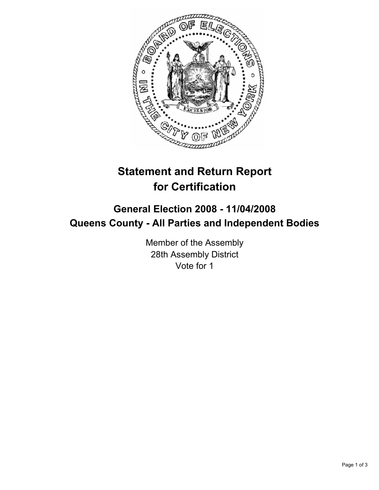

# **Statement and Return Report for Certification**

# **General Election 2008 - 11/04/2008 Queens County - All Parties and Independent Bodies**

Member of the Assembly 28th Assembly District Vote for 1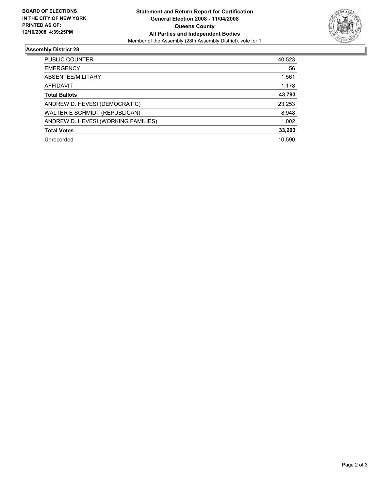

## **Assembly District 28**

| PUBLIC COUNTER                      | 40,523 |
|-------------------------------------|--------|
| <b>EMERGENCY</b>                    | 56     |
| ABSENTEE/MILITARY                   | 1,561  |
| AFFIDAVIT                           | 1,178  |
| <b>Total Ballots</b>                | 43,793 |
| ANDREW D. HEVESI (DEMOCRATIC)       | 23,253 |
| WALTER E SCHMIDT (REPUBLICAN)       | 8,948  |
| ANDREW D. HEVESI (WORKING FAMILIES) | 1,002  |
| <b>Total Votes</b>                  | 33,203 |
| Unrecorded                          | 10,590 |